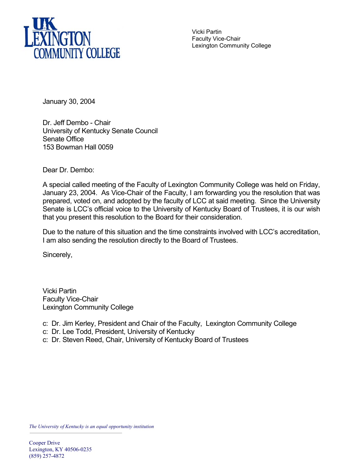

Vicki Partin Faculty Vice-Chair Lexington Community College

January 30, 2004

Dr. Jeff Dembo - Chair University of Kentucky Senate Council Senate Office 153 Bowman Hall 0059

Dear Dr. Dembo:

A special called meeting of the Faculty of Lexington Community College was held on Friday, January 23, 2004. As Vice-Chair of the Faculty, I am forwarding you the resolution that was prepared, voted on, and adopted by the faculty of LCC at said meeting. Since the University Senate is LCC's official voice to the University of Kentucky Board of Trustees, it is our wish that you present this resolution to the Board for their consideration.

Due to the nature of this situation and the time constraints involved with LCC's accreditation, I am also sending the resolution directly to the Board of Trustees.

Sincerely,

Vicki Partin Faculty Vice-Chair Lexington Community College

- c: Dr. Jim Kerley, President and Chair of the Faculty, Lexington Community College
- c: Dr. Lee Todd, President, University of Kentucky
- c: Dr. Steven Reed, Chair, University of Kentucky Board of Trustees

*The University of Kentucky is an equal opportunity institution*